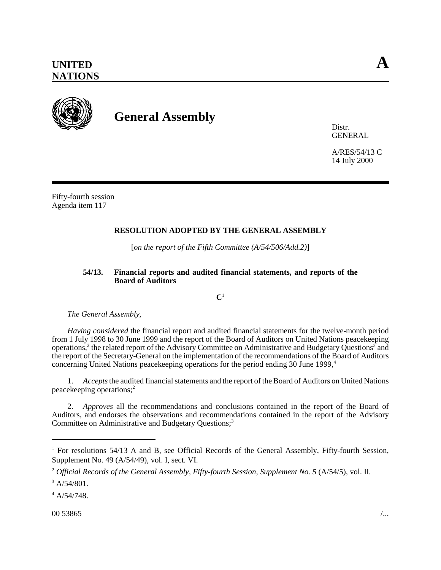

## **General Assembly**

Distr. **GENERAL** 

A/RES/54/13 C 14 July 2000

Fifty-fourth session Agenda item 117

## **RESOLUTION ADOPTED BY THE GENERAL ASSEMBLY**

[*on the report of the Fifth Committee (A/54/506/Add.2)*]

## **54/13. Financial reports and audited financial statements, and reports of the Board of Auditors**

**C**1

*The General Assembly*,

*Having considered* the financial report and audited financial statements for the twelve-month period from 1 July 1998 to 30 June 1999 and the report of the Board of Auditors on United Nations peacekeeping operations,<sup>2</sup> the related report of the Advisory Committee on Administrative and Budgetary Questions<sup>3</sup> and the report of the Secretary-General on the implementation of the recommendations of the Board of Auditors concerning United Nations peacekeeping operations for the period ending 30 June 1999,<sup>4</sup>

1. *Accepts* the audited financial statements and the report of the Board of Auditors on United Nations peacekeeping operations;2

2. *Approves* all the recommendations and conclusions contained in the report of the Board of Auditors, and endorses the observations and recommendations contained in the report of the Advisory Committee on Administrative and Budgetary Questions;<sup>3</sup>

<sup>&</sup>lt;sup>1</sup> For resolutions 54/13 A and B, see Official Records of the General Assembly, Fifty-fourth Session, Supplement No. 49 (A/54/49), vol. I, sect. VI.

<sup>2</sup> *Official Records of the General Assembly, Fifty-fourth Session, Supplement No. 5* (A/54/5), vol. II.

 $3$  A/54/801.

<sup>4</sup> A/54/748.